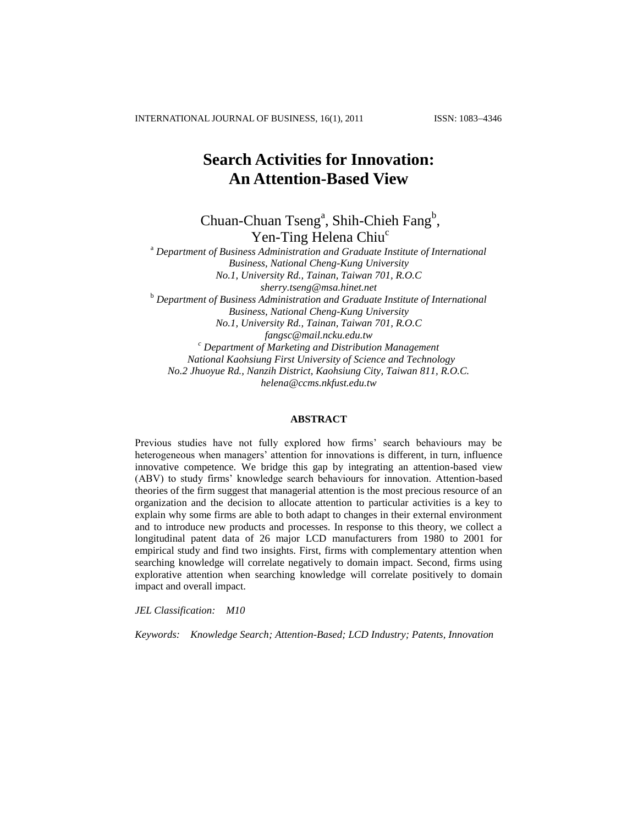INTERNATIONAL JOURNAL OF BUSINESS, 16(1), 2011 ISSN: 1083-4346

# **Search Activities for Innovation: An Attention-Based View**

Chuan-Chuan Tseng<sup>a</sup>, Shih-Chieh Fang<sup>b</sup>, Yen-Ting Helena Chiu<sup>c</sup>

<sup>a</sup> *Department of Business Administration and Graduate Institute of International Business, National Cheng-Kung University No.1, University Rd., Tainan, Taiwan 701, R.O.C sherry.tseng@msa.hinet.net* <sup>b</sup> *Department of Business Administration and Graduate Institute of International Business, National Cheng-Kung University No.1, University Rd., Tainan, Taiwan 701, R.O.C [fangsc@mail.ncku.edu.tw](mailto:fangsc@mail.ncku.edu.tw) <sup>c</sup> Department of Marketing and Distribution Management National Kaohsiung First University of Science and Technology No.2 Jhuoyue Rd., Nanzih District, Kaohsiung City, Taiwan 811, R.O.C. [helena@ccms.nkfust.edu.tw](mailto:helena@ccms.nkfust.edu.tw)*

# **ABSTRACT**

Previous studies have not fully explored how firms" search behaviours may be heterogeneous when managers" attention for innovations is different, in turn, influence innovative competence. We bridge this gap by integrating an attention-based view (ABV) to study firms" knowledge search behaviours for innovation. Attention-based theories of the firm suggest that managerial attention is the most precious resource of an organization and the decision to allocate attention to particular activities is a key to explain why some firms are able to both adapt to changes in their external environment and to introduce new products and processes. In response to this theory, we collect a longitudinal patent data of 26 major LCD manufacturers from 1980 to 2001 for empirical study and find two insights. First, firms with complementary attention when searching knowledge will correlate negatively to domain impact. Second, firms using explorative attention when searching knowledge will correlate positively to domain impact and overall impact.

*JEL Classification: M10* 

*Keywords: Knowledge Search; Attention-Based; LCD Industry; Patents, Innovation*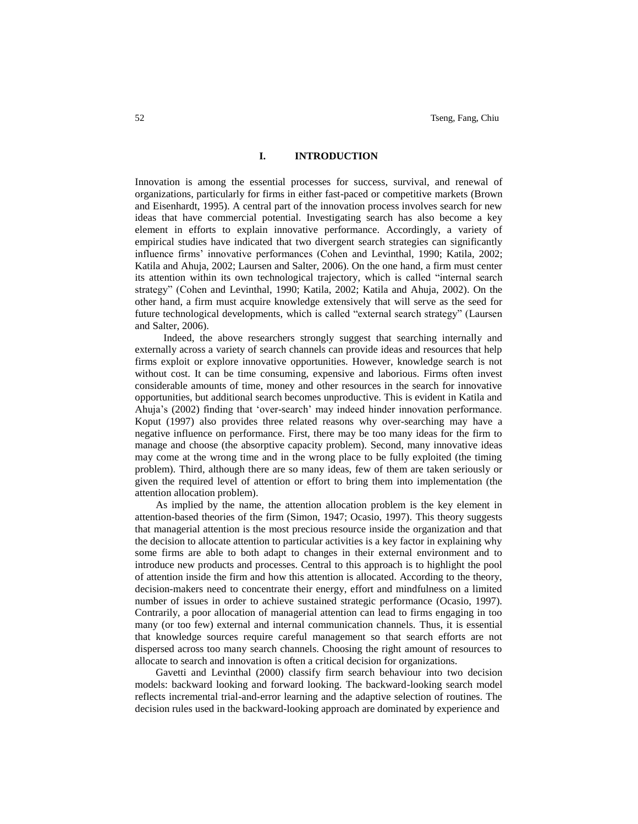# **I. INTRODUCTION**

Innovation is among the essential processes for success, survival, and renewal of organizations, particularly for firms in either fast-paced or competitive markets (Brown and Eisenhardt, 1995). A central part of the innovation process involves search for new ideas that have commercial potential. Investigating search has also become a key element in efforts to explain innovative performance. Accordingly, a variety of empirical studies have indicated that two divergent search strategies can significantly influence firms" innovative performances (Cohen and Levinthal, 1990; Katila, 2002; Katila and Ahuja, 2002; Laursen and Salter, 2006). On the one hand, a firm must center its attention within its own technological trajectory, which is called "internal search strategy" (Cohen and Levinthal, 1990; Katila, 2002; Katila and Ahuja, 2002). On the other hand, a firm must acquire knowledge extensively that will serve as the seed for future technological developments, which is called "external search strategy" (Laursen and Salter, 2006).

Indeed, the above researchers strongly suggest that searching internally and externally across a variety of search channels can provide ideas and resources that help firms exploit or explore innovative opportunities. However, knowledge search is not without cost. It can be time consuming, expensive and laborious. Firms often invest considerable amounts of time, money and other resources in the search for innovative opportunities, but additional search becomes unproductive. This is evident in Katila and Ahuja"s (2002) finding that "over-search" may indeed hinder innovation performance. Koput (1997) also provides three related reasons why over-searching may have a negative influence on performance. First, there may be too many ideas for the firm to manage and choose (the absorptive capacity problem). Second, many innovative ideas may come at the wrong time and in the wrong place to be fully exploited (the timing problem). Third, although there are so many ideas, few of them are taken seriously or given the required level of attention or effort to bring them into implementation (the attention allocation problem).

As implied by the name, the attention allocation problem is the key element in attention-based theories of the firm (Simon, 1947; Ocasio, 1997). This theory suggests that managerial attention is the most precious resource inside the organization and that the decision to allocate attention to particular activities is a key factor in explaining why some firms are able to both adapt to changes in their external environment and to introduce new products and processes. Central to this approach is to highlight the pool of attention inside the firm and how this attention is allocated. According to the theory, decision-makers need to concentrate their energy, effort and mindfulness on a limited number of issues in order to achieve sustained strategic performance (Ocasio, 1997). Contrarily, a poor allocation of managerial attention can lead to firms engaging in too many (or too few) external and internal communication channels. Thus, it is essential that knowledge sources require careful management so that search efforts are not dispersed across too many search channels. Choosing the right amount of resources to allocate to search and innovation is often a critical decision for organizations.

Gavetti and Levinthal (2000) classify firm search behaviour into two decision models: backward looking and forward looking. The backward-looking search model reflects incremental trial-and-error learning and the adaptive selection of routines. The decision rules used in the backward-looking approach are dominated by experience and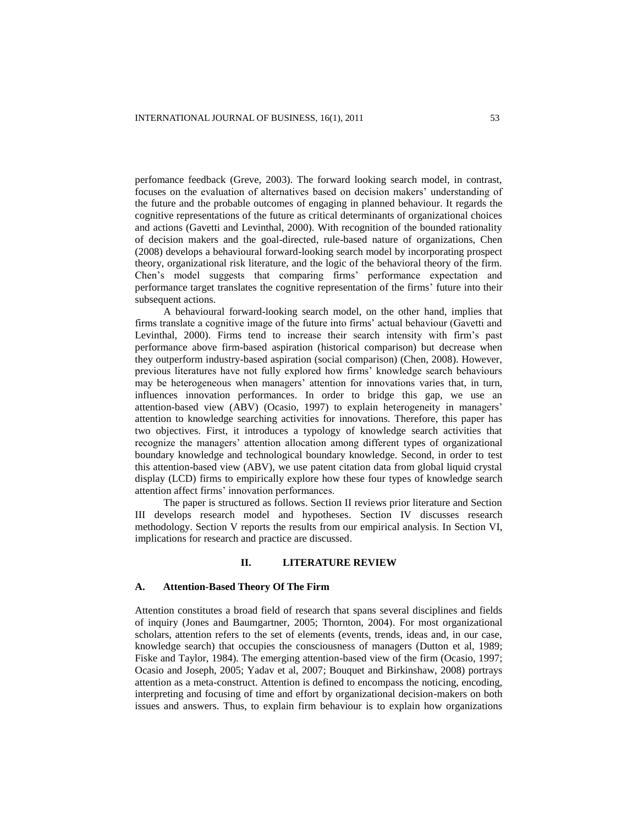perfomance feedback (Greve, 2003). The forward looking search model, in contrast, focuses on the evaluation of alternatives based on decision makers" understanding of the future and the probable outcomes of engaging in planned behaviour. It regards the cognitive representations of the future as critical determinants of organizational choices and actions (Gavetti and Levinthal, 2000). With recognition of the bounded rationality of decision makers and the goal-directed, rule-based nature of organizations, Chen (2008) develops a behavioural forward-looking search model by incorporating prospect theory, organizational risk literature, and the logic of the behavioral theory of the firm. Chen"s model suggests that comparing firms" performance expectation and performance target translates the cognitive representation of the firms" future into their subsequent actions.

A behavioural forward-looking search model, on the other hand, implies that firms translate a cognitive image of the future into firms" actual behaviour (Gavetti and Levinthal, 2000). Firms tend to increase their search intensity with firm"s past performance above firm-based aspiration (historical comparison) but decrease when they outperform industry-based aspiration (social comparison) (Chen, 2008). However, previous literatures have not fully explored how firms" knowledge search behaviours may be heterogeneous when managers" attention for innovations varies that, in turn, influences innovation performances. In order to bridge this gap, we use an attention-based view (ABV) (Ocasio, 1997) to explain heterogeneity in managers' attention to knowledge searching activities for innovations. Therefore, this paper has two objectives. First, it introduces a typology of knowledge search activities that recognize the managers" attention allocation among different types of organizational boundary knowledge and technological boundary knowledge. Second, in order to test this attention-based view (ABV), we use patent citation data from global liquid crystal display (LCD) firms to empirically explore how these four types of knowledge search attention affect firms" innovation performances.

The paper is structured as follows. Section II reviews prior literature and Section III develops research model and hypotheses. Section IV discusses research methodology. Section V reports the results from our empirical analysis. In Section VI, implications for research and practice are discussed.

# **II. LITERATURE REVIEW**

#### **A. Attention-Based Theory Of The Firm**

Attention constitutes a broad field of research that spans several disciplines and fields of inquiry (Jones and Baumgartner, 2005; Thornton, 2004). For most organizational scholars, attention refers to the set of elements (events, trends, ideas and, in our case, knowledge search) that occupies the consciousness of managers (Dutton et al, 1989; Fiske and Taylor, 1984). The emerging attention-based view of the firm (Ocasio, 1997; Ocasio and Joseph, 2005; Yadav et al, 2007; Bouquet and Birkinshaw, 2008) portrays attention as a meta-construct. Attention is defined to encompass the noticing, encoding, interpreting and focusing of time and effort by organizational decision-makers on both issues and answers. Thus, to explain firm behaviour is to explain how organizations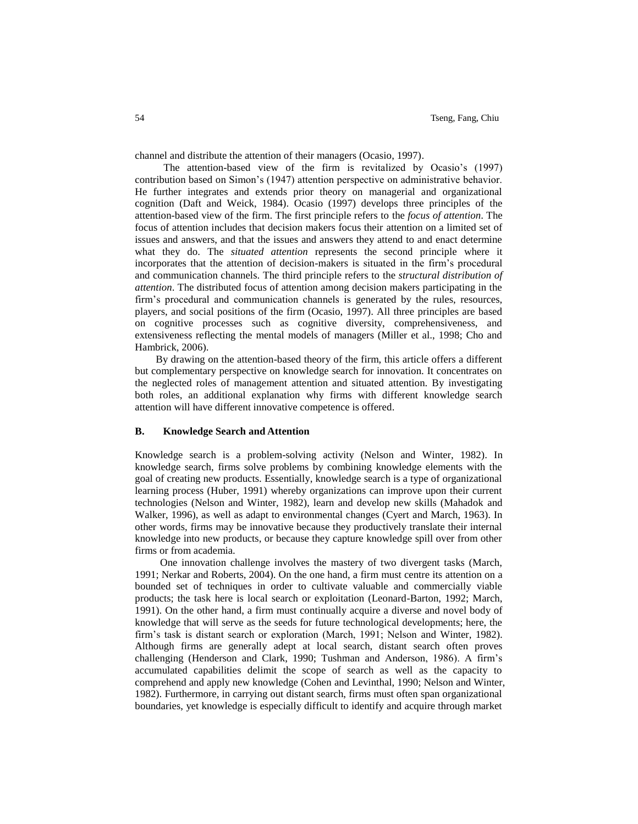channel and distribute the attention of their managers (Ocasio, 1997).

The attention-based view of the firm is revitalized by Ocasio's (1997) contribution based on Simon"s (1947) attention perspective on administrative behavior. He further integrates and extends prior theory on managerial and organizational cognition (Daft and Weick, 1984). Ocasio (1997) develops three principles of the attention-based view of the firm. The first principle refers to the *focus of attention*. The focus of attention includes that decision makers focus their attention on a limited set of issues and answers, and that the issues and answers they attend to and enact determine what they do. The *situated attention* represents the second principle where it incorporates that the attention of decision-makers is situated in the firm"s procedural and communication channels. The third principle refers to the *structural distribution of attention*. The distributed focus of attention among decision makers participating in the firm"s procedural and communication channels is generated by the rules, resources, players, and social positions of the firm (Ocasio, 1997). All three principles are based on cognitive processes such as cognitive diversity, comprehensiveness, and extensiveness reflecting the mental models of managers (Miller et al., 1998; Cho and Hambrick, 2006).

By drawing on the attention-based theory of the firm, this article offers a different but complementary perspective on knowledge search for innovation. It concentrates on the neglected roles of management attention and situated attention. By investigating both roles, an additional explanation why firms with different knowledge search attention will have different innovative competence is offered.

#### **B. Knowledge Search and Attention**

Knowledge search is a problem-solving activity (Nelson and Winter, 1982). In knowledge search, firms solve problems by combining knowledge elements with the goal of creating new products. Essentially, knowledge search is a type of organizational learning process (Huber, 1991) whereby organizations can improve upon their current technologies (Nelson and Winter, 1982), learn and develop new skills (Mahadok and Walker, 1996), as well as adapt to environmental changes (Cyert and March, 1963). In other words, firms may be innovative because they productively translate their internal knowledge into new products, or because they capture knowledge spill over from other firms or from academia.

One innovation challenge involves the mastery of two divergent tasks (March, 1991; Nerkar and Roberts, 2004). On the one hand, a firm must centre its attention on a bounded set of techniques in order to cultivate valuable and commercially viable products; the task here is local search or exploitation (Leonard-Barton, 1992; March, 1991). On the other hand, a firm must continually acquire a diverse and novel body of knowledge that will serve as the seeds for future technological developments; here, the firm"s task is distant search or exploration (March, 1991; Nelson and Winter, 1982). Although firms are generally adept at local search, distant search often proves challenging (Henderson and Clark, 1990; Tushman and Anderson, 1986). A firm"s accumulated capabilities delimit the scope of search as well as the capacity to comprehend and apply new knowledge (Cohen and Levinthal, 1990; Nelson and Winter, 1982). Furthermore, in carrying out distant search, firms must often span organizational boundaries, yet knowledge is especially difficult to identify and acquire through market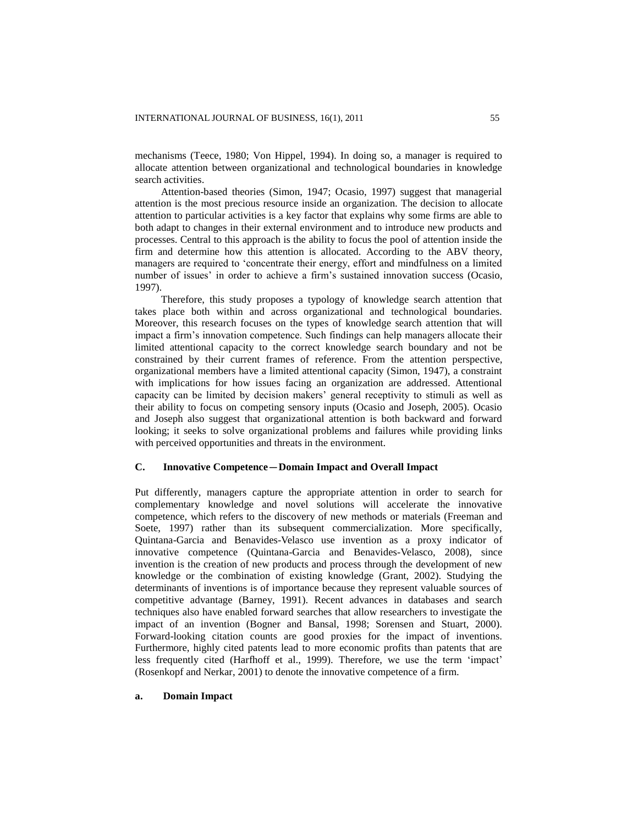mechanisms (Teece, 1980; Von Hippel, 1994). In doing so, a manager is required to allocate attention between organizational and technological boundaries in knowledge search activities.

Attention-based theories (Simon, 1947; Ocasio, 1997) suggest that managerial attention is the most precious resource inside an organization. The decision to allocate attention to particular activities is a key factor that explains why some firms are able to both adapt to changes in their external environment and to introduce new products and processes. Central to this approach is the ability to focus the pool of attention inside the firm and determine how this attention is allocated. According to the ABV theory, managers are required to "concentrate their energy, effort and mindfulness on a limited number of issues' in order to achieve a firm's sustained innovation success (Ocasio, 1997).

Therefore, this study proposes a typology of knowledge search attention that takes place both within and across organizational and technological boundaries. Moreover, this research focuses on the types of knowledge search attention that will impact a firm"s innovation competence. Such findings can help managers allocate their limited attentional capacity to the correct knowledge search boundary and not be constrained by their current frames of reference. From the attention perspective, organizational members have a limited attentional capacity (Simon, 1947), a constraint with implications for how issues facing an organization are addressed. Attentional capacity can be limited by decision makers" general receptivity to stimuli as well as their ability to focus on competing sensory inputs (Ocasio and Joseph, 2005). Ocasio and Joseph also suggest that organizational attention is both backward and forward looking; it seeks to solve organizational problems and failures while providing links with perceived opportunities and threats in the environment.

#### **C. Innovative Competence**-**Domain Impact and Overall Impact**

Put differently, managers capture the appropriate attention in order to search for complementary knowledge and novel solutions will accelerate the innovative competence, which refers to the discovery of new methods or materials (Freeman and Soete, 1997) rather than its subsequent commercialization. More specifically, Quintana-Garcia and Benavides-Velasco use invention as a proxy indicator of innovative competence (Quintana-Garcia and Benavides-Velasco, 2008), since invention is the creation of new products and process through the development of new knowledge or the combination of existing knowledge (Grant, 2002). Studying the determinants of inventions is of importance because they represent valuable sources of competitive advantage (Barney, 1991). Recent advances in databases and search techniques also have enabled forward searches that allow researchers to investigate the impact of an invention (Bogner and Bansal, 1998; Sorensen and Stuart, 2000). Forward-looking citation counts are good proxies for the impact of inventions. Furthermore, highly cited patents lead to more economic profits than patents that are less frequently cited (Harfhoff et al., 1999). Therefore, we use the term "impact" (Rosenkopf and Nerkar, 2001) to denote the innovative competence of a firm.

# **a. Domain Impact**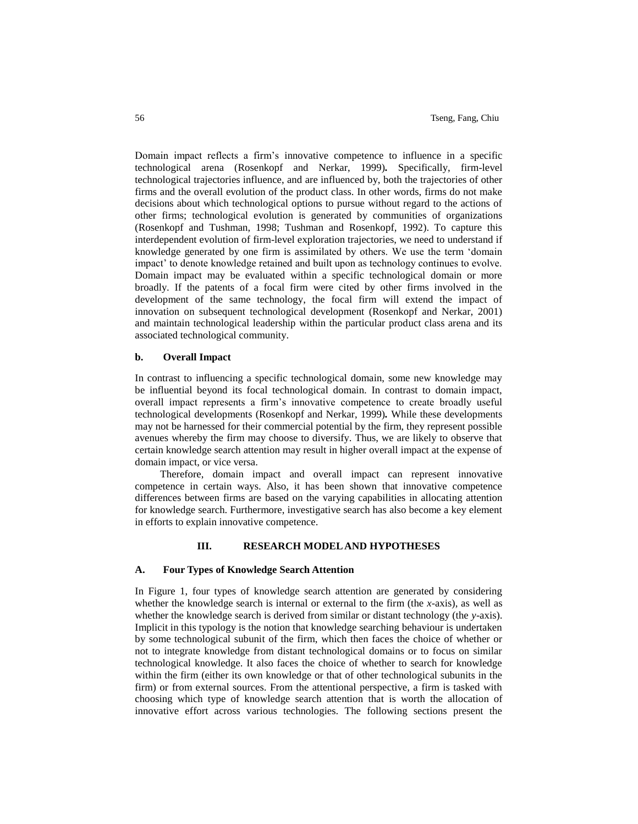Domain impact reflects a firm"s innovative competence to influence in a specific technological arena (Rosenkopf and Nerkar, 1999)*.* Specifically, firm-level technological trajectories influence, and are influenced by, both the trajectories of other firms and the overall evolution of the product class. In other words, firms do not make decisions about which technological options to pursue without regard to the actions of other firms; technological evolution is generated by communities of organizations (Rosenkopf and Tushman, 1998; Tushman and Rosenkopf, 1992). To capture this interdependent evolution of firm-level exploration trajectories, we need to understand if knowledge generated by one firm is assimilated by others. We use the term "domain impact" to denote knowledge retained and built upon as technology continues to evolve. Domain impact may be evaluated within a specific technological domain or more broadly. If the patents of a focal firm were cited by other firms involved in the development of the same technology, the focal firm will extend the impact of innovation on subsequent technological development (Rosenkopf and Nerkar, 2001) and maintain technological leadership within the particular product class arena and its associated technological community.

#### **b. Overall Impact**

In contrast to influencing a specific technological domain, some new knowledge may be influential beyond its focal technological domain. In contrast to domain impact, overall impact represents a firm"s innovative competence to create broadly useful technological developments (Rosenkopf and Nerkar, 1999)*.* While these developments may not be harnessed for their commercial potential by the firm, they represent possible avenues whereby the firm may choose to diversify. Thus, we are likely to observe that certain knowledge search attention may result in higher overall impact at the expense of domain impact, or vice versa.

Therefore, domain impact and overall impact can represent innovative competence in certain ways. Also, it has been shown that innovative competence differences between firms are based on the varying capabilities in allocating attention for knowledge search. Furthermore, investigative search has also become a key element in efforts to explain innovative competence.

#### **III. RESEARCH MODEL AND HYPOTHESES**

#### **A. Four Types of Knowledge Search Attention**

In Figure 1, four types of knowledge search attention are generated by considering whether the knowledge search is internal or external to the firm (the *x*-axis), as well as whether the knowledge search is derived from similar or distant technology (the *y*-axis). Implicit in this typology is the notion that knowledge searching behaviour is undertaken by some technological subunit of the firm, which then faces the choice of whether or not to integrate knowledge from distant technological domains or to focus on similar technological knowledge. It also faces the choice of whether to search for knowledge within the firm (either its own knowledge or that of other technological subunits in the firm) or from external sources. From the attentional perspective, a firm is tasked with choosing which type of knowledge search attention that is worth the allocation of innovative effort across various technologies. The following sections present the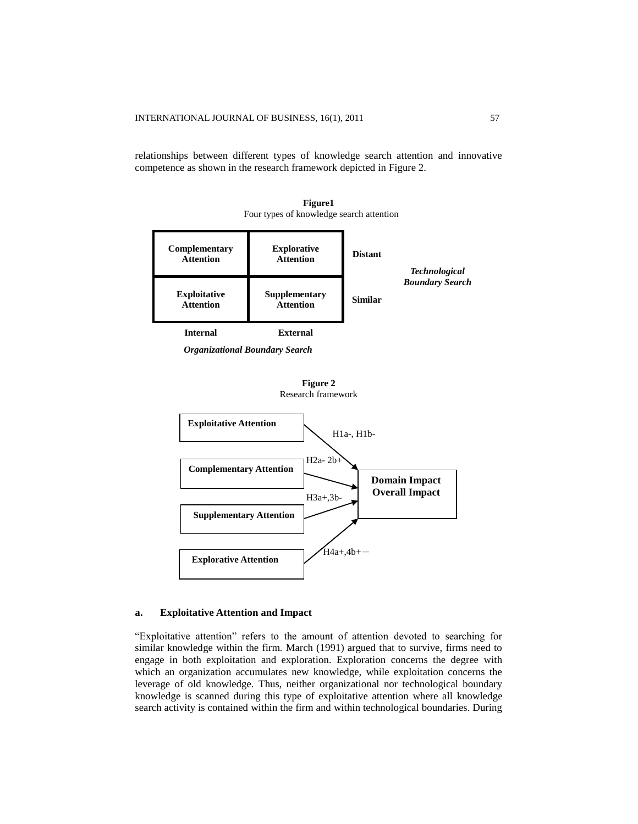relationships between different types of knowledge search attention and innovative competence as shown in the research framework depicted in Figure 2.



**Figure1** Four types of knowledge search attention



**Figure 2**

# **a. Exploitative Attention and Impact**

"Exploitative attention" refers to the amount of attention devoted to searching for similar knowledge within the firm. March (1991) argued that to survive, firms need to engage in both exploitation and exploration. Exploration concerns the degree with which an organization accumulates new knowledge, while exploitation concerns the leverage of old knowledge. Thus, neither organizational nor technological boundary knowledge is scanned during this type of exploitative attention where all knowledge search activity is contained within the firm and within technological boundaries. During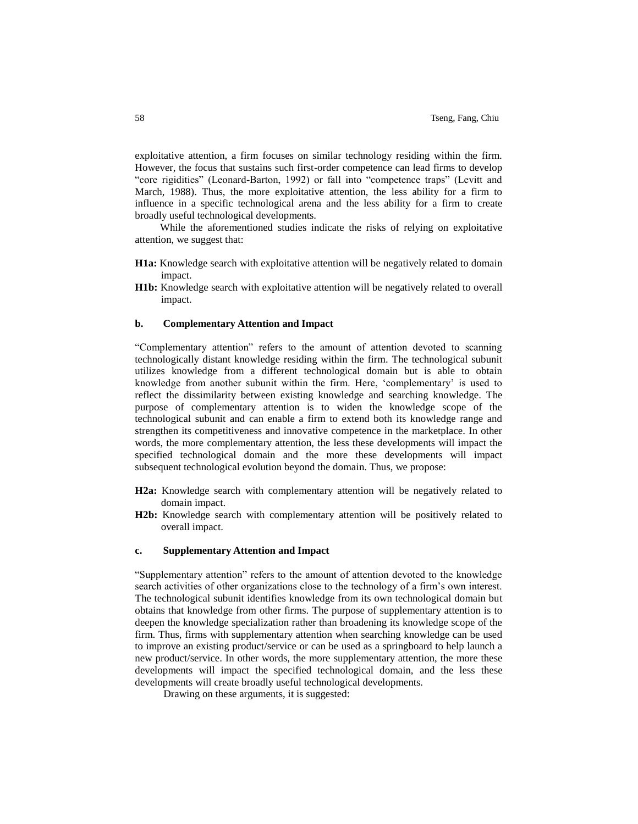exploitative attention, a firm focuses on similar technology residing within the firm. However, the focus that sustains such first-order competence can lead firms to develop "core rigidities" (Leonard-Barton, 1992) or fall into "competence traps" (Levitt and March, 1988). Thus, the more exploitative attention, the less ability for a firm to influence in a specific technological arena and the less ability for a firm to create broadly useful technological developments.

While the aforementioned studies indicate the risks of relying on exploitative attention, we suggest that:

- **H1a:** Knowledge search with exploitative attention will be negatively related to domain impact.
- **H1b:** Knowledge search with exploitative attention will be negatively related to overall impact.

# **b. Complementary Attention and Impact**

"Complementary attention" refers to the amount of attention devoted to scanning technologically distant knowledge residing within the firm. The technological subunit utilizes knowledge from a different technological domain but is able to obtain knowledge from another subunit within the firm. Here, 'complementary' is used to reflect the dissimilarity between existing knowledge and searching knowledge. The purpose of complementary attention is to widen the knowledge scope of the technological subunit and can enable a firm to extend both its knowledge range and strengthen its competitiveness and innovative competence in the marketplace. In other words, the more complementary attention, the less these developments will impact the specified technological domain and the more these developments will impact subsequent technological evolution beyond the domain. Thus, we propose:

- **H2a:** Knowledge search with complementary attention will be negatively related to domain impact.
- **H2b:** Knowledge search with complementary attention will be positively related to overall impact.

#### **c. Supplementary Attention and Impact**

"Supplementary attention" refers to the amount of attention devoted to the knowledge search activities of other organizations close to the technology of a firm"s own interest. The technological subunit identifies knowledge from its own technological domain but obtains that knowledge from other firms. The purpose of supplementary attention is to deepen the knowledge specialization rather than broadening its knowledge scope of the firm. Thus, firms with supplementary attention when searching knowledge can be used to improve an existing product/service or can be used as a springboard to help launch a new product/service. In other words, the more supplementary attention, the more these developments will impact the specified technological domain, and the less these developments will create broadly useful technological developments.

Drawing on these arguments, it is suggested: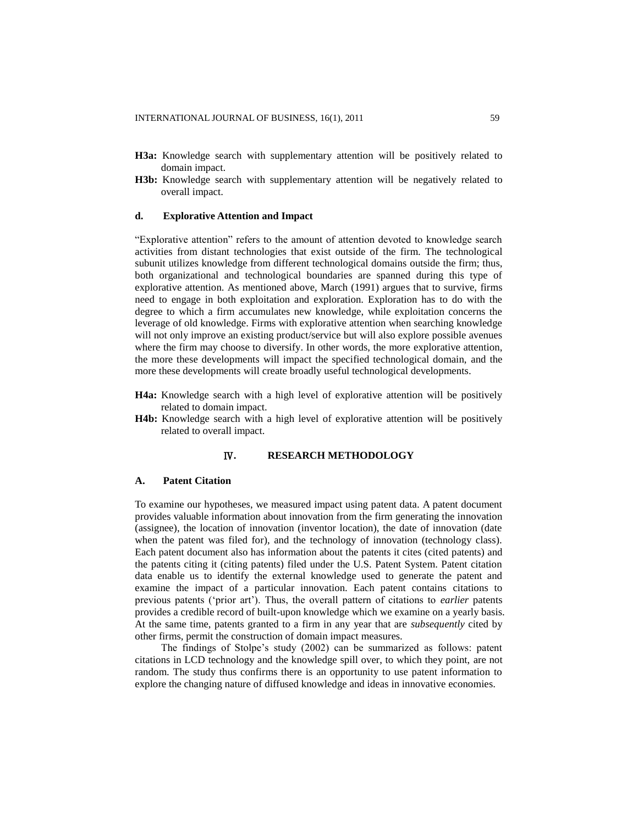- **H3a:** Knowledge search with supplementary attention will be positively related to domain impact.
- **H3b:** Knowledge search with supplementary attention will be negatively related to overall impact.

# **d. Explorative Attention and Impact**

"Explorative attention" refers to the amount of attention devoted to knowledge search activities from distant technologies that exist outside of the firm. The technological subunit utilizes knowledge from different technological domains outside the firm; thus, both organizational and technological boundaries are spanned during this type of explorative attention. As mentioned above, March (1991) argues that to survive, firms need to engage in both exploitation and exploration. Exploration has to do with the degree to which a firm accumulates new knowledge, while exploitation concerns the leverage of old knowledge. Firms with explorative attention when searching knowledge will not only improve an existing product/service but will also explore possible avenues where the firm may choose to diversify. In other words, the more explorative attention, the more these developments will impact the specified technological domain, and the more these developments will create broadly useful technological developments.

- **H4a:** Knowledge search with a high level of explorative attention will be positively related to domain impact.
- **H4b:** Knowledge search with a high level of explorative attention will be positively related to overall impact.

# Ⅳ**. RESEARCH METHODOLOGY**

#### **A. Patent Citation**

To examine our hypotheses, we measured impact using patent data. A patent document provides valuable information about innovation from the firm generating the innovation (assignee), the location of innovation (inventor location), the date of innovation (date when the patent was filed for), and the technology of innovation (technology class). Each patent document also has information about the patents it cites (cited patents) and the patents citing it (citing patents) filed under the U.S. Patent System. Patent citation data enable us to identify the external knowledge used to generate the patent and examine the impact of a particular innovation. Each patent contains citations to previous patents ("prior art"). Thus, the overall pattern of citations to *earlier* patents provides a credible record of built-upon knowledge which we examine on a yearly basis. At the same time, patents granted to a firm in any year that are *subsequently* cited by other firms, permit the construction of domain impact measures.

The findings of Stolpe"s study (2002) can be summarized as follows: patent citations in LCD technology and the knowledge spill over, to which they point, are not random. The study thus confirms there is an opportunity to use patent information to explore the changing nature of diffused knowledge and ideas in innovative economies.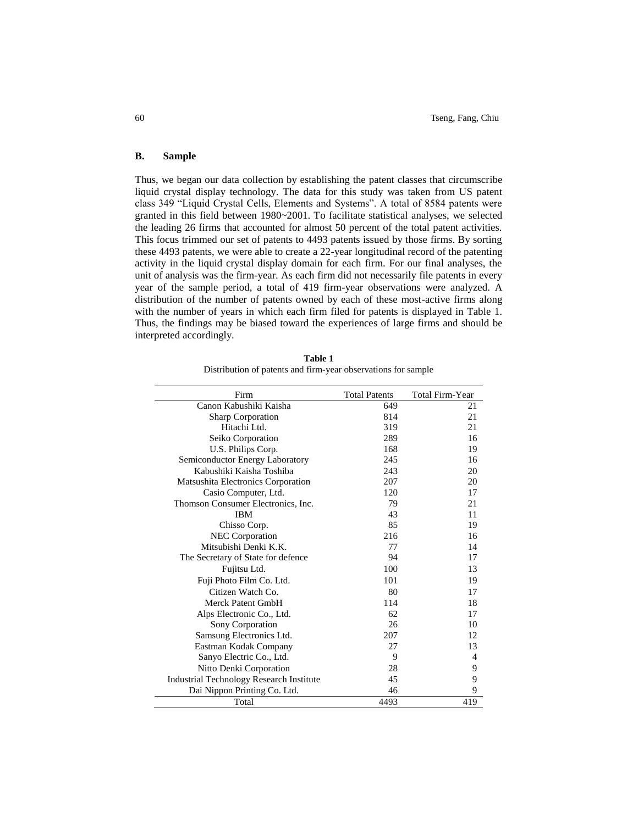# **B. Sample**

Thus, we began our data collection by establishing the patent classes that circumscribe liquid crystal display technology. The data for this study was taken from US patent class 349 "Liquid Crystal Cells, Elements and Systems". A total of 8584 patents were granted in this field between 1980~2001. To facilitate statistical analyses, we selected the leading 26 firms that accounted for almost 50 percent of the total patent activities. This focus trimmed our set of patents to 4493 patents issued by those firms. By sorting these 4493 patents, we were able to create a 22-year longitudinal record of the patenting activity in the liquid crystal display domain for each firm. For our final analyses, the unit of analysis was the firm-year. As each firm did not necessarily file patents in every year of the sample period, a total of 419 firm-year observations were analyzed. A distribution of the number of patents owned by each of these most-active firms along with the number of years in which each firm filed for patents is displayed in Table 1. Thus, the findings may be biased toward the experiences of large firms and should be interpreted accordingly.

|                                                               | Table 1 |  |  |
|---------------------------------------------------------------|---------|--|--|
| Distribution of patents and firm-year observations for sample |         |  |  |

| Firm                                            | <b>Total Patents</b> | Total Firm-Year |
|-------------------------------------------------|----------------------|-----------------|
| Canon Kabushiki Kaisha                          | 649                  | 21              |
| <b>Sharp Corporation</b>                        | 814                  | 21              |
| Hitachi Ltd.                                    | 319                  | 21              |
| Seiko Corporation                               | 289                  | 16              |
|                                                 | 168                  |                 |
| U.S. Philips Corp.                              | 245                  | 19              |
| Semiconductor Energy Laboratory                 |                      | 16              |
| Kabushiki Kaisha Toshiba                        | 243                  | 20              |
| Matsushita Electronics Corporation              | 207                  | 20              |
| Casio Computer, Ltd.                            | 120                  | 17              |
| Thomson Consumer Electronics, Inc.              | 79                   | 21              |
| <b>IBM</b>                                      | 43                   | 11              |
| Chisso Corp.                                    | 85                   | 19              |
| <b>NEC</b> Corporation                          | 216                  | 16              |
| Mitsubishi Denki K.K.                           | 77                   | 14              |
| The Secretary of State for defence              | 94                   | 17              |
| Fujitsu Ltd.                                    | 100                  | 13              |
| Fuji Photo Film Co. Ltd.                        | 101                  | 19              |
| Citizen Watch Co.                               | 80                   | 17              |
| Merck Patent GmbH                               | 114                  | 18              |
| Alps Electronic Co., Ltd.                       | 62                   | 17              |
| Sony Corporation                                | 26                   | 10              |
| Samsung Electronics Ltd.                        | 207                  | 12              |
| Eastman Kodak Company                           | 27                   | 13              |
| Sanyo Electric Co., Ltd.                        | 9                    | 4               |
| Nitto Denki Corporation                         | 28                   | 9               |
| <b>Industrial Technology Research Institute</b> | 45                   | 9               |
| Dai Nippon Printing Co. Ltd.                    | 46                   | 9               |
| Total                                           | 4493                 | 419             |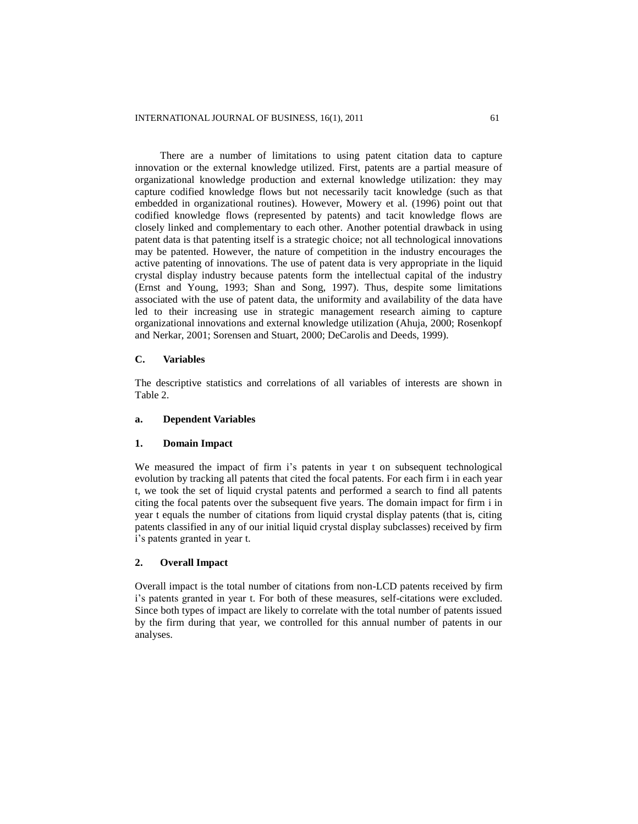There are a number of limitations to using patent citation data to capture innovation or the external knowledge utilized. First, patents are a partial measure of organizational knowledge production and external knowledge utilization: they may capture codified knowledge flows but not necessarily tacit knowledge (such as that embedded in organizational routines). However, Mowery et al. (1996) point out that codified knowledge flows (represented by patents) and tacit knowledge flows are closely linked and complementary to each other. Another potential drawback in using patent data is that patenting itself is a strategic choice; not all technological innovations may be patented. However, the nature of competition in the industry encourages the active patenting of innovations. The use of patent data is very appropriate in the liquid crystal display industry because patents form the intellectual capital of the industry (Ernst and Young, 1993; Shan and Song, 1997). Thus, despite some limitations associated with the use of patent data, the uniformity and availability of the data have led to their increasing use in strategic management research aiming to capture organizational innovations and external knowledge utilization (Ahuja, 2000; Rosenkopf and Nerkar, 2001; Sorensen and Stuart, 2000; DeCarolis and Deeds, 1999).

#### **C. Variables**

The descriptive statistics and correlations of all variables of interests are shown in Table 2.

#### **a. Dependent Variables**

#### **1. Domain Impact**

We measured the impact of firm i's patents in year t on subsequent technological evolution by tracking all patents that cited the focal patents. For each firm i in each year t, we took the set of liquid crystal patents and performed a search to find all patents citing the focal patents over the subsequent five years. The domain impact for firm i in year t equals the number of citations from liquid crystal display patents (that is, citing patents classified in any of our initial liquid crystal display subclasses) received by firm i's patents granted in year t.

# **2. Overall Impact**

Overall impact is the total number of citations from non-LCD patents received by firm i's patents granted in year t. For both of these measures, self-citations were excluded. Since both types of impact are likely to correlate with the total number of patents issued by the firm during that year, we controlled for this annual number of patents in our analyses.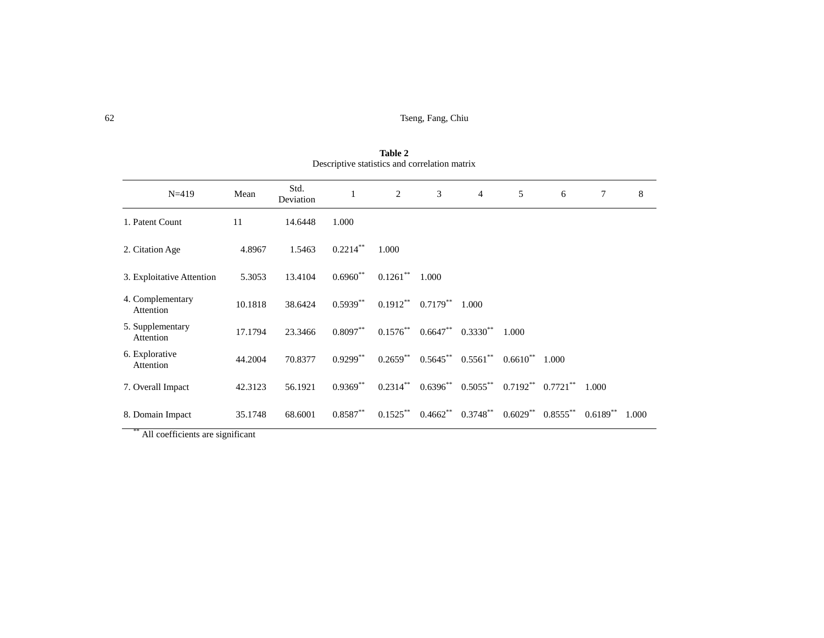62 Tseng, Fang, Chiu

| $N = 419$                     | Mean    | Std.<br>Deviation |             | 2           | 3                           | $\overline{4}$                                                        | 5                   | 6 | 7                      | 8     |
|-------------------------------|---------|-------------------|-------------|-------------|-----------------------------|-----------------------------------------------------------------------|---------------------|---|------------------------|-------|
| 1. Patent Count               | 11      | 14.6448           | 1.000       |             |                             |                                                                       |                     |   |                        |       |
| 2. Citation Age               | 4.8967  | 1.5463            | $0.2214***$ | 1.000       |                             |                                                                       |                     |   |                        |       |
| 3. Exploitative Attention     | 5.3053  | 13.4104           | $0.6960**$  | $0.1261$ ** | 1.000                       |                                                                       |                     |   |                        |       |
| 4. Complementary<br>Attention | 10.1818 | 38.6424           | $0.5939**$  |             | $0.1912^{**}$ $0.7179^{**}$ | 1.000                                                                 |                     |   |                        |       |
| 5. Supplementary<br>Attention | 17.1794 | 23.3466           | $0.8097***$ | $0.1576**$  | $0.6647***$                 | $0.3330**$                                                            | 1.000               |   |                        |       |
| 6. Explorative<br>Attention   | 44.2004 | 70.8377           | $0.9299**$  | $0.2659***$ |                             | $0.5645$ ** $0.5561$ **                                               | $0.6610^{**}$ 1.000 |   |                        |       |
| 7. Overall Impact             | 42.3123 | 56.1921           | $0.9369**$  | $0.2314***$ |                             | $0.6396^{**}$ $0.5055^{**}$ $0.7192^{**}$ $0.7721^{**}$               |                     |   | 1.000                  |       |
| 8. Domain Impact              | 35.1748 | 68.6001           | $0.8587***$ |             |                             | $0.1525^{**}$ $0.4662^{**}$ $0.3748^{**}$ $0.6029^{**}$ $0.8555^{**}$ |                     |   | $0.6189$ <sup>**</sup> | 1.000 |

**Table 2** Descriptive statistics and correlation matrix

\* All coefficients are significant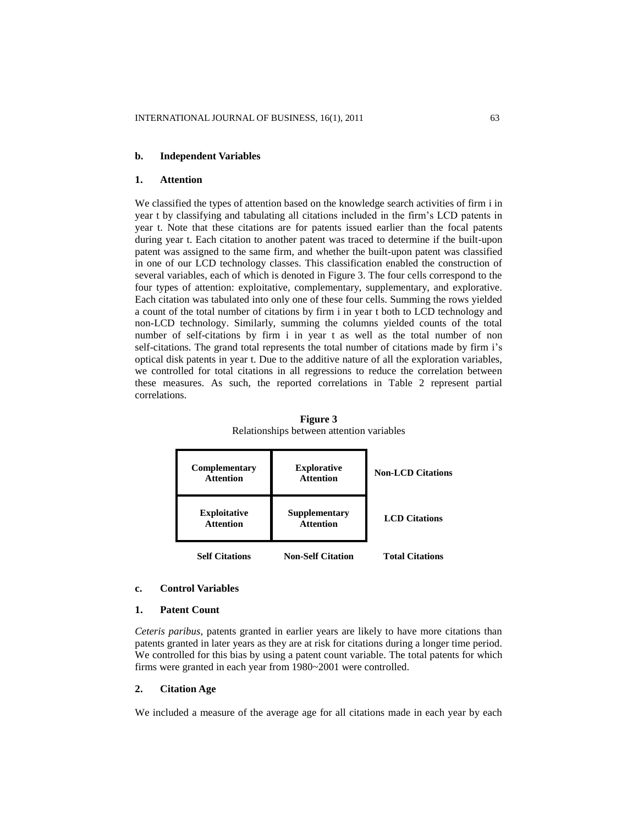# **b. Independent Variables**

#### **1. Attention**

We classified the types of attention based on the knowledge search activities of firm i in year t by classifying and tabulating all citations included in the firm"s LCD patents in year t. Note that these citations are for patents issued earlier than the focal patents during year t. Each citation to another patent was traced to determine if the built-upon patent was assigned to the same firm, and whether the built-upon patent was classified in one of our LCD technology classes. This classification enabled the construction of several variables, each of which is denoted in Figure 3. The four cells correspond to the four types of attention: exploitative, complementary, supplementary, and explorative. Each citation was tabulated into only one of these four cells. Summing the rows yielded a count of the total number of citations by firm i in year t both to LCD technology and non-LCD technology. Similarly, summing the columns yielded counts of the total number of self-citations by firm i in year t as well as the total number of non self-citations. The grand total represents the total number of citations made by firm i"s optical disk patents in year t. Due to the additive nature of all the exploration variables, we controlled for total citations in all regressions to reduce the correlation between these measures. As such, the reported correlations in Table 2 represent partial correlations.

| Complementary<br><b>Attention</b>       | <b>Explorative</b><br><b>Attention</b>   | <b>Non-LCD Citations</b> |
|-----------------------------------------|------------------------------------------|--------------------------|
| <b>Exploitative</b><br><b>Attention</b> | <b>Supplementary</b><br><b>Attention</b> | <b>LCD</b> Citations     |
| <b>Self Citations</b>                   | <b>Non-Self Citation</b>                 | <b>Total Citations</b>   |

**Figure 3** Relationships between attention variables

# **c. Control Variables**

# **1. Patent Count**

*Ceteris paribus*, patents granted in earlier years are likely to have more citations than patents granted in later years as they are at risk for citations during a longer time period. We controlled for this bias by using a patent count variable. The total patents for which firms were granted in each year from 1980~2001 were controlled.

# **2. Citation Age**

We included a measure of the average age for all citations made in each year by each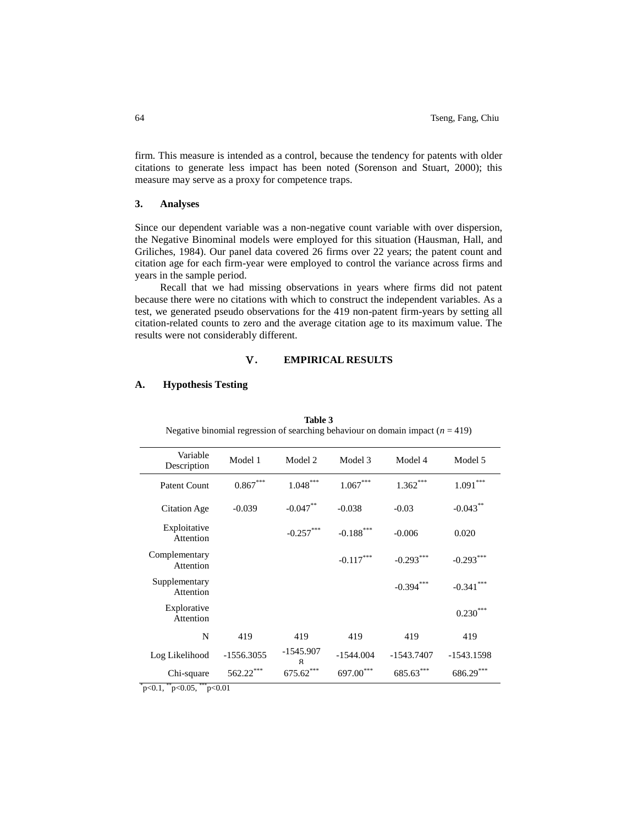firm. This measure is intended as a control, because the tendency for patents with older citations to generate less impact has been noted (Sorenson and Stuart, 2000); this measure may serve as a proxy for competence traps.

# **3. Analyses**

Since our dependent variable was a non-negative count variable with over dispersion, the Negative Binominal models were employed for this situation (Hausman, Hall, and Griliches, 1984). Our panel data covered 26 firms over 22 years; the patent count and citation age for each firm-year were employed to control the variance across firms and years in the sample period.

Recall that we had missing observations in years where firms did not patent because there were no citations with which to construct the independent variables. As a test, we generated pseudo observations for the 419 non-patent firm-years by setting all citation-related counts to zero and the average citation age to its maximum value. The results were not considerably different.

# Ⅴ**. EMPIRICAL RESULTS**

# **A. Hypothesis Testing**

| Variable<br>Description    | Model 1                | Model 2                     | Model 3                | Model 4       | Model 5                        |
|----------------------------|------------------------|-----------------------------|------------------------|---------------|--------------------------------|
| <b>Patent Count</b>        | $0.867^{\ast\ast\ast}$ | $1.048^{\ast\ast\ast}$      | $1.067^{\ast\ast\ast}$ | $1.362^{***}$ | $1.091^{\ast\ast\ast}$         |
| Citation Age               | $-0.039$               | $-0.047**$                  | $-0.038$               | $-0.03$       | $-0.043***$                    |
| Exploitative<br>Attention  |                        | $-0.257***$                 | $-0.188***$            | $-0.006$      | 0.020                          |
| Complementary<br>Attention |                        |                             | $-0.117***$            | $-0.293***$   | $-0.293***$                    |
| Supplementary<br>Attention |                        |                             |                        | $-0.394***$   | ***<br>$-0.341$                |
| Explorative<br>Attention   |                        |                             |                        |               | $0.230^\ast{}^{\ast}{}^{\ast}$ |
| N                          | 419                    | 419                         | 419                    | 419           | 419                            |
| Log Likelihood             | $-1556.3055$           | $-1545.907$<br>$\mathbf{Q}$ | $-1544.004$            | -1543.7407    | -1543.1598                     |
| Chi-square                 | $562.22***$            | $675.62^{\ast\ast\ast}$     | $697.00^\ast$          | $685.63***$   | $686.29***$                    |

**Table 3** Negative binomial regression of searching behaviour on domain impact  $(n = 419)$ 

 $p<0.1$ ,  $p<0.05$ ,  $p<0.01$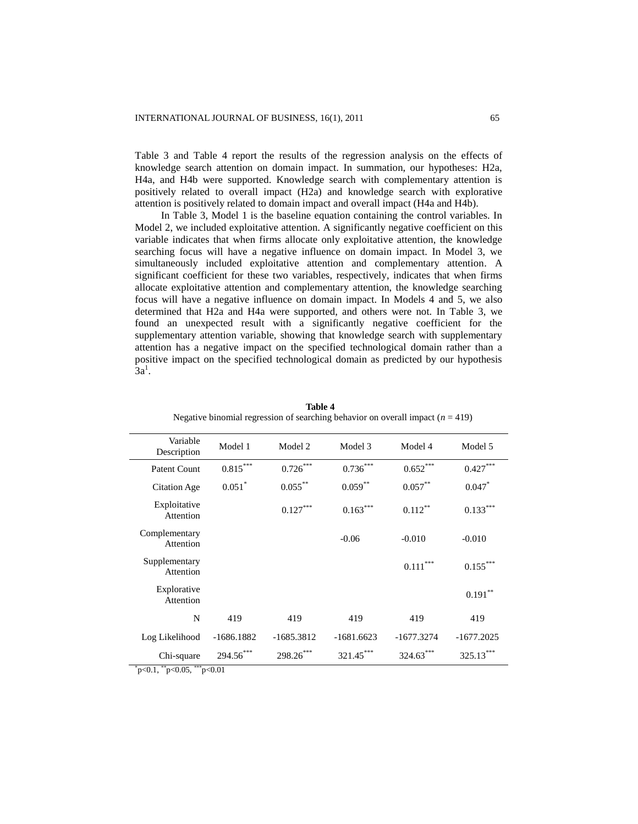Table 3 and Table 4 report the results of the regression analysis on the effects of knowledge search attention on domain impact. In summation, our hypotheses: H2a, H4a, and H4b were supported. Knowledge search with complementary attention is positively related to overall impact (H2a) and knowledge search with explorative attention is positively related to domain impact and overall impact (H4a and H4b).

In Table 3, Model 1 is the baseline equation containing the control variables. In Model 2, we included exploitative attention. A significantly negative coefficient on this variable indicates that when firms allocate only exploitative attention, the knowledge searching focus will have a negative influence on domain impact. In Model 3, we simultaneously included exploitative attention and complementary attention. A significant coefficient for these two variables, respectively, indicates that when firms allocate exploitative attention and complementary attention, the knowledge searching focus will have a negative influence on domain impact. In Models 4 and 5, we also determined that H2a and H4a were supported, and others were not. In Table 3, we found an unexpected result with a significantly negative coefficient for the supplementary attention variable, showing that knowledge search with supplementary attention has a negative impact on the specified technological domain rather than a positive impact on the specified technological domain as predicted by our hypothesis  $\bar{3}a^1$ .

| Variable<br>Description    | Model 1                 | Model 2                    | Model 3                 | Model 4                    | Model 5                |
|----------------------------|-------------------------|----------------------------|-------------------------|----------------------------|------------------------|
| Patent Count               | $0.815^{\ast\ast\ast}$  | $0.726\sp{*}{^\ast\sp{*}}$ | $0.736\overset{***}{ }$ | $0.652\sp{*}{^\ast\sp{*}}$ | $0.427^{\ast\ast\ast}$ |
| Citation Age               | $0.051$ *               | $0.055***$                 | $0.059^{**}$            | $0.057***$                 | $0.047$ *              |
| Exploitative<br>Attention  |                         | $0.127***$                 | $0.163***$              | $0.112***$                 | $0.133***$             |
| Complementary<br>Attention |                         |                            | $-0.06$                 | $-0.010$                   | $-0.010$               |
| Supplementary<br>Attention |                         |                            |                         | $0.111^{\ast\ast\ast}$     | $0.155***$             |
| Explorative<br>Attention   |                         |                            |                         |                            | $0.191***$             |
| N                          | 419                     | 419                        | 419                     | 419                        | 419                    |
| Log Likelihood             | $-1686.1882$            | $-1685.3812$               | $-1681.6623$            | $-1677.3274$               | $-1677.2025$           |
| Chi-square                 | $294.56^{\ast\ast\ast}$ | $298.26***$                | $321.45^{\ast\ast\ast}$ | $324.63***$                | $325.13***$            |

**Table 4** Negative binomial regression of searching behavior on overall impact  $(n = 419)$ 

 $p<0.1$ ,  $p<0.05$ ,  $p<0.01$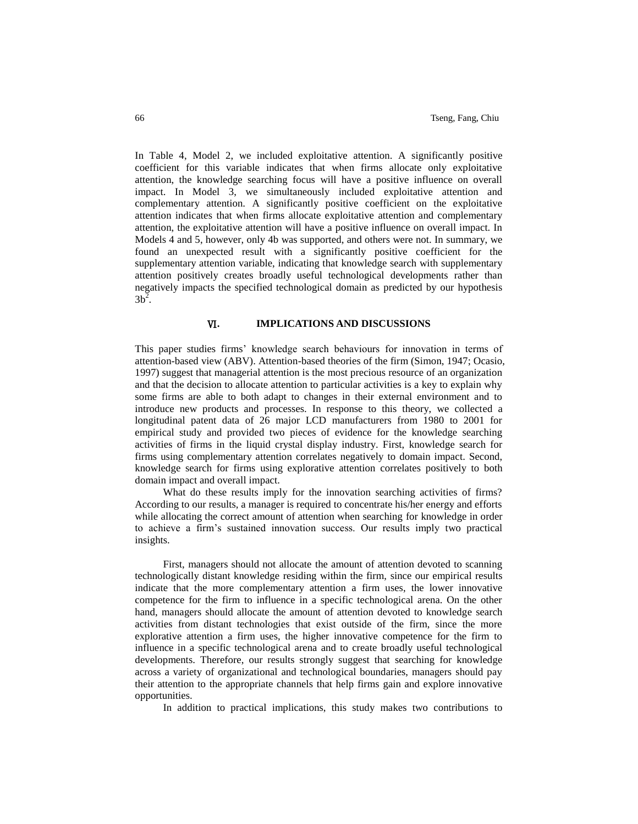In Table 4, Model 2, we included exploitative attention. A significantly positive coefficient for this variable indicates that when firms allocate only exploitative attention, the knowledge searching focus will have a positive influence on overall impact. In Model 3, we simultaneously included exploitative attention and complementary attention. A significantly positive coefficient on the exploitative attention indicates that when firms allocate exploitative attention and complementary attention, the exploitative attention will have a positive influence on overall impact. In Models 4 and 5, however, only 4b was supported, and others were not. In summary, we found an unexpected result with a significantly positive coefficient for the supplementary attention variable, indicating that knowledge search with supplementary attention positively creates broadly useful technological developments rather than negatively impacts the specified technological domain as predicted by our hypothesis  $3b^2$ .

# Ⅵ**. IMPLICATIONS AND DISCUSSIONS**

This paper studies firms" knowledge search behaviours for innovation in terms of attention-based view (ABV). Attention-based theories of the firm (Simon, 1947; Ocasio, 1997) suggest that managerial attention is the most precious resource of an organization and that the decision to allocate attention to particular activities is a key to explain why some firms are able to both adapt to changes in their external environment and to introduce new products and processes. In response to this theory, we collected a longitudinal patent data of 26 major LCD manufacturers from 1980 to 2001 for empirical study and provided two pieces of evidence for the knowledge searching activities of firms in the liquid crystal display industry. First, knowledge search for firms using complementary attention correlates negatively to domain impact. Second, knowledge search for firms using explorative attention correlates positively to both domain impact and overall impact.

What do these results imply for the innovation searching activities of firms? According to our results, a manager is required to concentrate his/her energy and efforts while allocating the correct amount of attention when searching for knowledge in order to achieve a firm"s sustained innovation success. Our results imply two practical insights.

First, managers should not allocate the amount of attention devoted to scanning technologically distant knowledge residing within the firm, since our empirical results indicate that the more complementary attention a firm uses, the lower innovative competence for the firm to influence in a specific technological arena. On the other hand, managers should allocate the amount of attention devoted to knowledge search activities from distant technologies that exist outside of the firm, since the more explorative attention a firm uses, the higher innovative competence for the firm to influence in a specific technological arena and to create broadly useful technological developments. Therefore, our results strongly suggest that searching for knowledge across a variety of organizational and technological boundaries, managers should pay their attention to the appropriate channels that help firms gain and explore innovative opportunities.

In addition to practical implications, this study makes two contributions to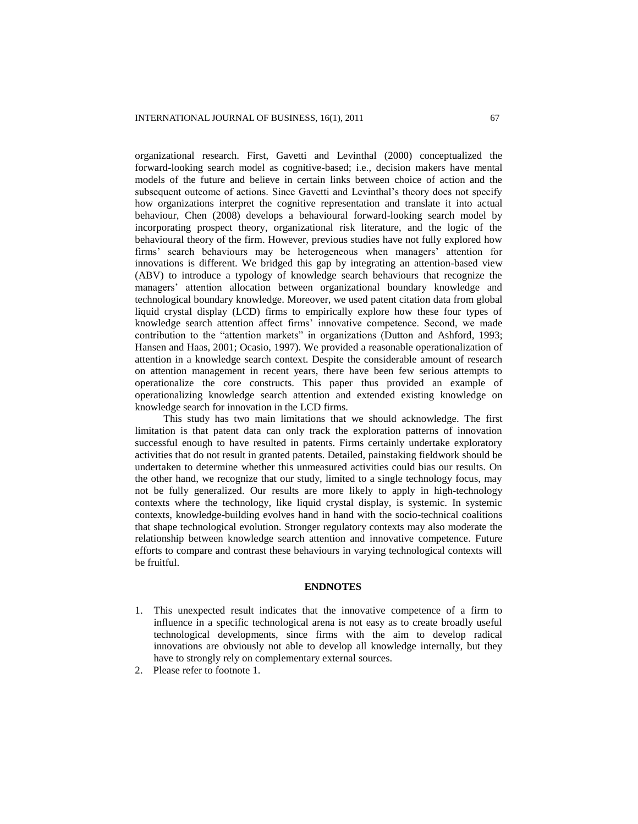organizational research. First, Gavetti and Levinthal (2000) conceptualized the forward-looking search model as cognitive-based; i.e., decision makers have mental models of the future and believe in certain links between choice of action and the subsequent outcome of actions. Since Gavetti and Levinthal"s theory does not specify how organizations interpret the cognitive representation and translate it into actual behaviour, Chen (2008) develops a behavioural forward-looking search model by incorporating prospect theory, organizational risk literature, and the logic of the behavioural theory of the firm. However, previous studies have not fully explored how firms" search behaviours may be heterogeneous when managers" attention for innovations is different. We bridged this gap by integrating an attention-based view (ABV) to introduce a typology of knowledge search behaviours that recognize the managers" attention allocation between organizational boundary knowledge and technological boundary knowledge. Moreover, we used patent citation data from global liquid crystal display (LCD) firms to empirically explore how these four types of knowledge search attention affect firms" innovative competence. Second, we made contribution to the "attention markets" in organizations (Dutton and Ashford, 1993; Hansen and Haas, 2001; Ocasio, 1997). We provided a reasonable operationalization of attention in a knowledge search context. Despite the considerable amount of research on attention management in recent years, there have been few serious attempts to operationalize the core constructs. This paper thus provided an example of operationalizing knowledge search attention and extended existing knowledge on knowledge search for innovation in the LCD firms.

This study has two main limitations that we should acknowledge. The first limitation is that patent data can only track the exploration patterns of innovation successful enough to have resulted in patents. Firms certainly undertake exploratory activities that do not result in granted patents. Detailed, painstaking fieldwork should be undertaken to determine whether this unmeasured activities could bias our results. On the other hand, we recognize that our study, limited to a single technology focus, may not be fully generalized. Our results are more likely to apply in high-technology contexts where the technology, like liquid crystal display, is systemic. In systemic contexts, knowledge-building evolves hand in hand with the socio-technical coalitions that shape technological evolution. Stronger regulatory contexts may also moderate the relationship between knowledge search attention and innovative competence. Future efforts to compare and contrast these behaviours in varying technological contexts will be fruitful.

# **ENDNOTES**

- 1. This unexpected result indicates that the innovative competence of a firm to influence in a specific technological arena is not easy as to create broadly useful technological developments, since firms with the aim to develop radical innovations are obviously not able to develop all knowledge internally, but they have to strongly rely on complementary external sources.
- 2. Please refer to footnote 1.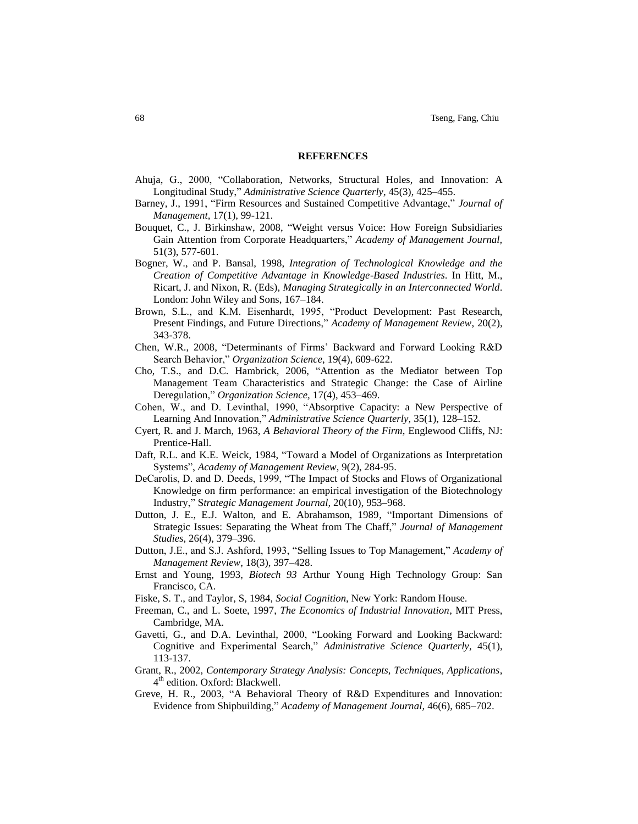#### **REFERENCES**

- Ahuja, G., 2000, "Collaboration, Networks, Structural Holes, and Innovation: A Longitudinal Study," *Administrative Science Quarterly,* 45(3), 425–455.
- Barney, J., 1991, "Firm Resources and Sustained Competitive Advantage," *Journal of Management,* 17(1), 99-121.
- Bouquet, C., J. Birkinshaw, 2008, "Weight versus Voice: How Foreign Subsidiaries Gain Attention from Corporate Headquarters," *Academy of Management Journal,*  51(3), 577-601.
- Bogner, W., and P. Bansal, 1998, *Integration of Technological Knowledge and the Creation of Competitive Advantage in Knowledge-Based Industries*. In Hitt, M., Ricart, J. and Nixon, R. (Eds), *Managing Strategically in an Interconnected World*. London: John Wiley and Sons, 167–184.
- Brown, S.L., and K.M. Eisenhardt, 1995, "Product Development: Past Research, Present Findings, and Future Directions," *Academy of Management Review*, 20(2), 343-378.
- Chen, W.R., 2008, "Determinants of Firms" Backward and Forward Looking R&D Search Behavior," *Organization Science*, 19(4), 609-622.
- Cho, T.S., and D.C. Hambrick, 2006, "Attention as the Mediator between Top Management Team Characteristics and Strategic Change: the Case of Airline Deregulation," *Organization Science,* 17(4), 453–469.
- Cohen, W., and D. Levinthal, 1990, "Absorptive Capacity: a New Perspective of Learning And Innovation," *Administrative Science Quarterly,* 35(1), 128–152.
- Cyert, R. and J. March, 1963, *A Behavioral Theory of the Firm,* Englewood Cliffs, NJ: Prentice-Hall.
- Daft, R.L. and K.E. Weick, 1984, "Toward a Model of Organizations as Interpretation Systems", *Academy of Management Review*, 9(2), 284-95.
- DeCarolis, D. and D. Deeds, 1999, "The Impact of Stocks and Flows of Organizational Knowledge on firm performance: an empirical investigation of the Biotechnology Industry," S*trategic Management Journal,* 20(10), 953–968.
- Dutton, J. E., E.J. Walton, and E. Abrahamson, 1989, "Important Dimensions of Strategic Issues: Separating the Wheat from The Chaff," *Journal of Management Studies,* 26(4), 379–396.
- Dutton, J.E., and S.J. Ashford, 1993, "Selling Issues to Top Management," *Academy of Management Review*, 18(3), 397–428.
- Ernst and Young, 1993, *Biotech 93* Arthur Young High Technology Group: San Francisco, CA.
- Fiske, S. T., and Taylor, S, 1984, *Social Cognition,* New York: Random House.
- Freeman, C., and L. Soete, 1997, *The Economics of Industrial Innovation*, MIT Press, Cambridge, MA.
- Gavetti, G., and D.A. Levinthal, 2000, "Looking Forward and Looking Backward: Cognitive and Experimental Search," *Administrative Science Quarterly*, 45(1), 113-137.
- Grant, R., 2002, *Contemporary Strategy Analysis: Concepts, Techniques, Applications*, 4 th edition. Oxford: Blackwell.
- Greve, H. R., 2003, "A Behavioral Theory of R&D Expenditures and Innovation: Evidence from Shipbuilding," *Academy of Management Journal,* 46(6), 685–702.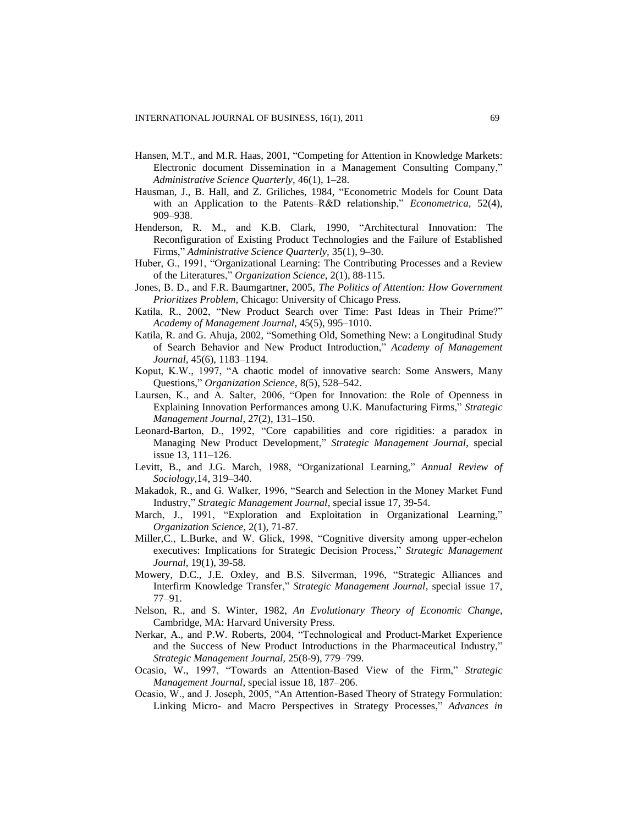- Hansen, M.T., and M.R. Haas, 2001, "Competing for Attention in Knowledge Markets: Electronic document Dissemination in a Management Consulting Company," *Administrative Science Quarterly,* 46(1), 1–28.
- Hausman, J., B. Hall, and Z. Griliches, 1984, "Econometric Models for Count Data with an Application to the Patents–R&D relationship," *Econometrica,* 52(4), 909–938.
- Henderson, R. M., and K.B. Clark, 1990, "Architectural Innovation: The Reconfiguration of Existing Product Technologies and the Failure of Established Firms," *Administrative Science Quarterly,* 35(1), 9–30.
- Huber, G., 1991, "Organizational Learning: The Contributing Processes and a Review of the Literatures," *Organization Science,* 2(1), 88-115.
- Jones, B. D., and F.R. Baumgartner, 2005, *The Politics of Attention: How Government Prioritizes Problem,* Chicago: University of Chicago Press.
- Katila, R., 2002, "New Product Search over Time: Past Ideas in Their Prime?" *Academy of Management Journal,* 45(5), 995–1010.
- Katila, R. and G. Ahuja, 2002, "Something Old, Something New: a Longitudinal Study of Search Behavior and New Product Introduction," *Academy of Management Journal,* 45(6), 1183–1194.
- Koput, K.W., 1997, "A chaotic model of innovative search: Some Answers, Many Questions," *Organization Science*, 8(5), 528–542.
- Laursen, K., and A. Salter, 2006, "Open for Innovation: the Role of Openness in Explaining Innovation Performances among U.K. Manufacturing Firms," *Strategic Management Journal*, 27(2), 131–150.
- Leonard-Barton, D., 1992, "Core capabilities and core rigidities: a paradox in Managing New Product Development," *Strategic Management Journal*, special issue 13, 111–126.
- Levitt, B., and J.G. March, 1988, "Organizational Learning," *Annual Review of Sociology,*14, 319–340.
- Makadok, R., and G. Walker, 1996, "Search and Selection in the Money Market Fund Industry," *Strategic Management Journal*, special issue 17, 39-54.
- March, J., 1991, "Exploration and Exploitation in Organizational Learning," *Organization Science,* 2(1), 71-87.
- Miller,C., L.Burke, and W. Glick, 1998, "Cognitive diversity among upper-echelon executives: Implications for Strategic Decision Process," *Strategic Management Journal*, 19(1), 39-58.
- Mowery, D.C., J.E. Oxley, and B.S. Silverman, 1996, "Strategic Alliances and Interfirm Knowledge Transfer," *Strategic Management Journal*, special issue 17, 77–91.
- Nelson, R., and S. Winter, 1982, *An Evolutionary Theory of Economic Change*, Cambridge, MA: Harvard University Press.
- Nerkar, A., and P.W. Roberts, 2004, "Technological and Product-Market Experience and the Success of New Product Introductions in the Pharmaceutical Industry," *Strategic Management Journal,* 25(8-9), 779–799.
- Ocasio, W., 1997, "Towards an Attention-Based View of the Firm," *Strategic Management Journal*, special issue 18, 187–206.
- Ocasio, W., and J. Joseph, 2005, "An Attention-Based Theory of Strategy Formulation: Linking Micro- and Macro Perspectives in Strategy Processes," *Advances in*